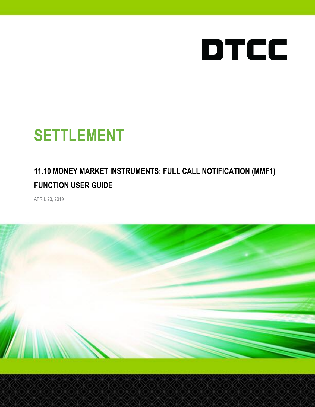

# **SETTLEMENT**

#### **11.10 MONEY MARKET INSTRUMENTS: FULL CALL NOTIFICATION (MMF1) FUNCTION USER GUIDE**

APRIL 23, 2019

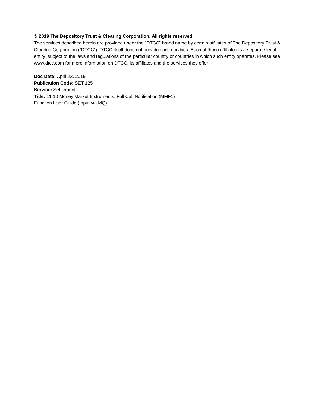#### **© 2019 The Depository Trust & Clearing Corporation. All rights reserved.**

The services described herein are provided under the "DTCC" brand name by certain affiliates of The Depository Trust & Clearing Corporation ("DTCC"). DTCC itself does not provide such services. Each of these affiliates is a separate legal entity, subject to the laws and regulations of the particular country or countries in which such entity operates. Please see [www.dtcc.com](http://www.dtcc.com/) for more information on DTCC, its affiliates and the services they offer.

**Doc Date:** April 23, 2019 **Publication Code:** SET 125 **Service:** Settlement **Title:** 11.10 Money Market Instruments: Full Call Notification (MMF1) Function User Guide (Input via MQ)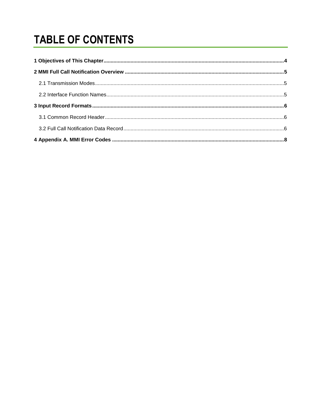## **TABLE OF CONTENTS**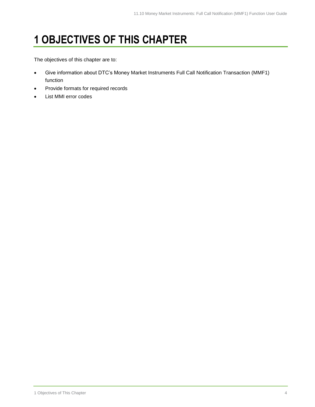### <span id="page-3-0"></span>**1 OBJECTIVES OF THIS CHAPTER**

The objectives of this chapter are to:

- Give information about DTC's Money Market Instruments Full Call Notification Transaction (MMF1) function
- Provide formats for required records
- List MMI error codes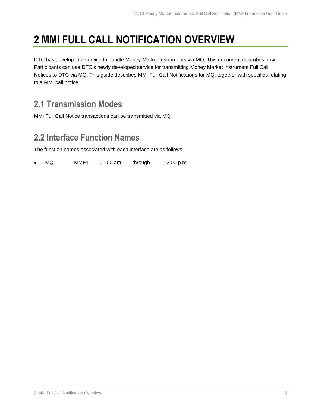### <span id="page-4-0"></span>**2 MMI FULL CALL NOTIFICATION OVERVIEW**

DTC has developed a service to handle Money Market Instruments via MQ. This document describes how Participants can use DTC's newly developed service for transmitting Money Market Instrument Full Call Notices to DTC via MQ. This guide describes MMI Full Call Notifications for MQ, together with specifics relating to a MMI call notice.

#### <span id="page-4-1"></span>**2.1 Transmission Modes**

MMI Full Call Notice transactions can be transmitted via MQ

#### <span id="page-4-2"></span>**2.2 Interface Function Names**

The function names associated with each interface are as follows:

MQ MMF1 00:00 am through 12:00 p.m.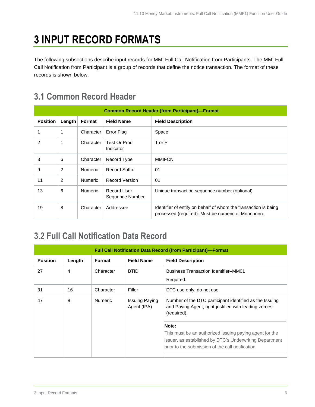### <span id="page-5-0"></span>**3 INPUT RECORD FORMATS**

The following subsections describe input records for MMI Full Call Notification from Participants. The MMI Full Call Notification from Participant is a group of records that define the notice transaction. The format of these records is shown below.

#### <span id="page-5-1"></span>**3.1 Common Record Header**

| <b>Common Record Header (from Participant)-Format</b> |        |                |                                |                                                                                                                       |
|-------------------------------------------------------|--------|----------------|--------------------------------|-----------------------------------------------------------------------------------------------------------------------|
| <b>Position</b>                                       | Length | Format         | <b>Field Name</b>              | <b>Field Description</b>                                                                                              |
|                                                       | 1      | Character      | Error Flag                     | Space                                                                                                                 |
| 2                                                     | 1      | Character      | Test Or Prod<br>Indicator      | T or P                                                                                                                |
| 3                                                     | 6      | Character      | Record Type                    | <b>MMIFCN</b>                                                                                                         |
| 9                                                     | 2      | <b>Numeric</b> | <b>Record Suffix</b>           | 01                                                                                                                    |
| 11                                                    | 2      | <b>Numeric</b> | <b>Record Version</b>          | 01                                                                                                                    |
| 13                                                    | 6      | <b>Numeric</b> | Record User<br>Sequence Number | Unique transaction sequence number (optional)                                                                         |
| 19                                                    | 8      | Character      | Addressee                      | Identifier of entity on behalf of whom the transaction is being<br>processed (required). Must be numeric of Mnnnnnnn. |

#### <span id="page-5-2"></span>**3.2 Full Call Notification Data Record**

| <b>Full Call Notification Data Record (from Participant)-Format</b> |        |                |                                      |                                                                                                                                                                                  |
|---------------------------------------------------------------------|--------|----------------|--------------------------------------|----------------------------------------------------------------------------------------------------------------------------------------------------------------------------------|
| <b>Position</b>                                                     | Length | Format         | <b>Field Name</b>                    | <b>Field Description</b>                                                                                                                                                         |
| 27                                                                  | 4      | Character      | <b>BTID</b>                          | <b>Business Transaction Identifier-MM01</b><br>Required.                                                                                                                         |
| 31                                                                  | 16     | Character      | Filler                               | DTC use only; do not use.                                                                                                                                                        |
| 47                                                                  | 8      | <b>Numeric</b> | <b>Issuing Paying</b><br>Agent (IPA) | Number of the DTC participant identified as the Issuing<br>and Paying Agent; right-justified with leading zeroes<br>(required).                                                  |
|                                                                     |        |                |                                      | Note:<br>This must be an authorized issuing paying agent for the<br>issuer, as established by DTC's Underwriting Department<br>prior to the submission of the call notification. |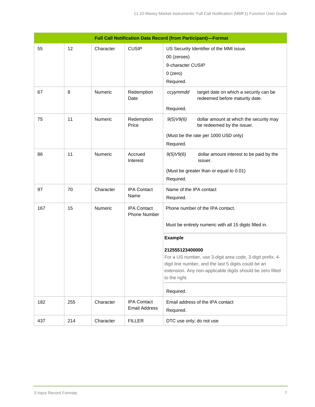| <b>Full Call Notification Data Record (from Participant)-Format</b> |     |                |                                            |                                                                                                                                                                                                                      |
|---------------------------------------------------------------------|-----|----------------|--------------------------------------------|----------------------------------------------------------------------------------------------------------------------------------------------------------------------------------------------------------------------|
| 55                                                                  | 12  | Character      | <b>CUSIP</b>                               | US Security Identifier of the MMI issue.<br>00 (zeroes)<br>9-character CUSIP<br>$0$ (zero)<br>Required.                                                                                                              |
| 67                                                                  | 8   | <b>Numeric</b> | Redemption<br>Date                         | target date on which a security can be<br>ccyymmdd<br>redeemed before maturity date.<br>Required.                                                                                                                    |
| 75                                                                  | 11  | <b>Numeric</b> | Redemption<br>Price                        | 9(5)V9(6)<br>dollar amount at which the security may<br>be redeemed by the issuer.<br>(Must be the rate per 1000 USD only)<br>Required.                                                                              |
| 86                                                                  | 11  | Numeric        | Accrued<br>Interest                        | dollar amount interest to be paid by the<br>9(5)V9(6)<br>issuer.<br>(Must be greater than or equal to 0.01)<br>Required.                                                                                             |
| 97                                                                  | 70  | Character      | <b>IPA Contact</b><br>Name                 | Name of the IPA contact<br>Required.                                                                                                                                                                                 |
| 167                                                                 | 15  | Numeric        | <b>IPA Contact</b><br><b>Phone Number</b>  | Phone number of the IPA contact.<br>Must be entirely numeric with all 15 digits filled in.                                                                                                                           |
|                                                                     |     |                |                                            | <b>Example</b>                                                                                                                                                                                                       |
|                                                                     |     |                |                                            | 212555123400000<br>For a US number, use 3-digit area code, 3-digit prefix, 4-<br>digit line number, and the last 5 digits could be an<br>extension. Any non-applicable digits should be zero filled<br>to the right. |
|                                                                     |     |                |                                            | Required.                                                                                                                                                                                                            |
| 182                                                                 | 255 | Character      | <b>IPA Contact</b><br><b>Email Address</b> | Email address of the IPA contact<br>Required.                                                                                                                                                                        |
| 437                                                                 | 214 | Character      | <b>FILLER</b>                              | DTC use only; do not use                                                                                                                                                                                             |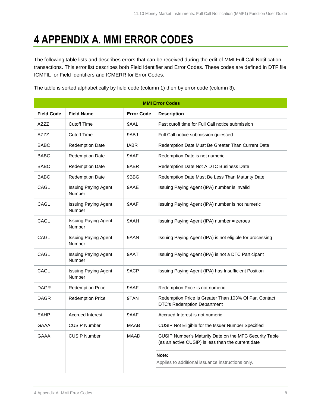### <span id="page-7-0"></span>**4 APPENDIX A. MMI ERROR CODES**

The following table lists and describes errors that can be received during the edit of MMI Full Call Notification transactions. This error list describes both Field Identifier and Error Codes. These codes are defined in DTF file ICMFIL for Field Identifiers and ICMERR for Error Codes.

The table is sorted alphabetically by field code (column 1) then by error code (column 3).

| <b>MMI Error Codes</b> |                                       |                   |                                                                                                              |
|------------------------|---------------------------------------|-------------------|--------------------------------------------------------------------------------------------------------------|
| <b>Field Code</b>      | <b>Field Name</b>                     | <b>Error Code</b> | <b>Description</b>                                                                                           |
| AZZZ                   | <b>Cutoff Time</b>                    | 9AAL              | Past cutoff time for Full Call notice submission                                                             |
| AZZZ                   | <b>Cutoff Time</b>                    | 9ABJ              | Full Call notice submission quiesced                                                                         |
| <b>BABC</b>            | <b>Redemption Date</b>                | <b>IABR</b>       | Redemption Date Must Be Greater Than Current Date                                                            |
| <b>BABC</b>            | <b>Redemption Date</b>                | 9AAF              | Redemption Date is not numeric                                                                               |
| <b>BABC</b>            | <b>Redemption Date</b>                | 9ABR              | Redemption Date Not A DTC Business Date                                                                      |
| <b>BABC</b>            | <b>Redemption Date</b>                | 9BBG              | Redemption Date Must Be Less Than Maturity Date                                                              |
| CAGL                   | <b>Issuing Paying Agent</b><br>Number | 9AAE              | Issuing Paying Agent (IPA) number is invalid                                                                 |
| CAGL                   | <b>Issuing Paying Agent</b><br>Number | 9AAF              | Issuing Paying Agent (IPA) number is not numeric                                                             |
| CAGL                   | <b>Issuing Paying Agent</b><br>Number | 9AAH              | Issuing Paying Agent (IPA) number = zeroes                                                                   |
| CAGL                   | <b>Issuing Paying Agent</b><br>Number | 9AAN              | Issuing Paying Agent (IPA) is not eligible for processing                                                    |
| CAGL                   | <b>Issuing Paying Agent</b><br>Number | 9AAT              | Issuing Paying Agent (IPA) is not a DTC Participant                                                          |
| CAGL                   | <b>Issuing Paying Agent</b><br>Number | 9ACP              | Issuing Paying Agent (IPA) has Insufficient Position                                                         |
| <b>DAGR</b>            | <b>Redemption Price</b>               | 9AAF              | Redemption Price is not numeric                                                                              |
| <b>DAGR</b>            | <b>Redemption Price</b>               | 9TAN              | Redemption Price Is Greater Than 103% Of Par, Contact<br><b>DTC's Redemption Department</b>                  |
| <b>EAHP</b>            | <b>Accrued Interest</b>               | 9AAF              | Accrued Interest is not numeric                                                                              |
| <b>GAAA</b>            | <b>CUSIP Number</b>                   | <b>MAAB</b>       | CUSIP Not Eligible for the Issuer Number Specified                                                           |
| <b>GAAA</b>            | <b>CUSIP Number</b>                   | <b>MAAD</b>       | CUSIP Number's Maturity Date on the MFC Security Table<br>(as an active CUSIP) is less than the current date |
|                        |                                       |                   | Note:<br>Applies to additional issuance instructions only.                                                   |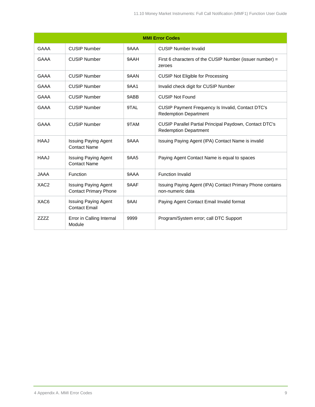| <b>MMI Error Codes</b> |                                                             |             |                                                                                         |
|------------------------|-------------------------------------------------------------|-------------|-----------------------------------------------------------------------------------------|
| <b>GAAA</b>            | CUSIP Number                                                | 9AAA        | <b>CUSIP Number Invalid</b>                                                             |
| <b>GAAA</b>            | <b>CUSIP Number</b>                                         | 9AAH        | First 6 characters of the CUSIP Number (issuer number) =<br>zeroes                      |
| <b>GAAA</b>            | <b>CUSIP Number</b>                                         | 9AAN        | <b>CUSIP Not Eligible for Processing</b>                                                |
| <b>GAAA</b>            | <b>CUSIP Number</b>                                         | 9AA1        | Invalid check digit for CUSIP Number                                                    |
| <b>GAAA</b>            | <b>CUSIP Number</b>                                         | 9ABB        | <b>CUSIP Not Found</b>                                                                  |
| <b>GAAA</b>            | <b>CUSIP Number</b>                                         | 9TAL        | CUSIP Payment Frequency Is Invalid, Contact DTC's<br><b>Redemption Department</b>       |
| <b>GAAA</b>            | <b>CUSIP Number</b>                                         | 9TAM        | CUSIP Parallel Partial Principal Paydown, Contact DTC's<br><b>Redemption Department</b> |
| <b>HAAJ</b>            | <b>Issuing Paying Agent</b><br><b>Contact Name</b>          | 9AAA        | Issuing Paying Agent (IPA) Contact Name is invalid                                      |
| HAAJ                   | <b>Issuing Paying Agent</b><br><b>Contact Name</b>          | <b>9AA5</b> | Paying Agent Contact Name is equal to spaces                                            |
| <b>JAAA</b>            | Function                                                    | 9AAA        | <b>Function Invalid</b>                                                                 |
| XAC <sub>2</sub>       | <b>Issuing Paying Agent</b><br><b>Contact Primary Phone</b> | 9AAF        | Issuing Paying Agent (IPA) Contact Primary Phone contains<br>non-numeric data           |
| XAC6                   | Issuing Paying Agent<br><b>Contact Email</b>                | <b>9AAI</b> | Paying Agent Contact Email Invalid format                                               |
| <b>ZZZZ</b>            | Error in Calling Internal<br>Module                         | 9999        | Program/System error; call DTC Support                                                  |